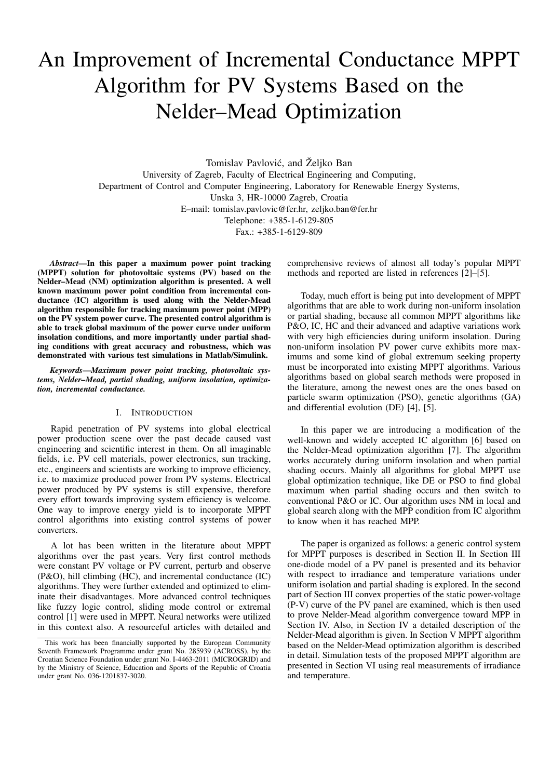# An Improvement of Incremental Conductance MPPT Algorithm for PV Systems Based on the Nelder–Mead Optimization

Tomislav Pavlović, and Željko Ban

University of Zagreb, Faculty of Electrical Engineering and Computing, Department of Control and Computer Engineering, Laboratory for Renewable Energy Systems, Unska 3, HR-10000 Zagreb, Croatia E–mail: tomislav.pavlovic@fer.hr, zeljko.ban@fer.hr Telephone: +385-1-6129-805 Fax.: +385-1-6129-809

*Abstract*—In this paper a maximum power point tracking (MPPT) solution for photovoltaic systems (PV) based on the Nelder–Mead (NM) optimization algorithm is presented. A well known maximum power point condition from incremental conductance (IC) algorithm is used along with the Nelder-Mead algorithm responsible for tracking maximum power point (MPP) on the PV system power curve. The presented control algorithm is able to track global maximum of the power curve under uniform insolation conditions, and more importantly under partial shading conditions with great accuracy and robustness, which was demonstrated with various test simulations in Matlab/Simulink.

*Keywords*—*Maximum power point tracking, photovoltaic systems, Nelder–Mead, partial shading, uniform insolation, optimization, incremental conductance.*

# I. INTRODUCTION

Rapid penetration of PV systems into global electrical power production scene over the past decade caused vast engineering and scientific interest in them. On all imaginable fields, i.e. PV cell materials, power electronics, sun tracking, etc., engineers and scientists are working to improve efficiency, i.e. to maximize produced power from PV systems. Electrical power produced by PV systems is still expensive, therefore every effort towards improving system efficiency is welcome. One way to improve energy yield is to incorporate MPPT control algorithms into existing control systems of power converters.

A lot has been written in the literature about MPPT algorithms over the past years. Very first control methods were constant PV voltage or PV current, perturb and observe (P&O), hill climbing (HC), and incremental conductance (IC) algorithms. They were further extended and optimized to eliminate their disadvantages. More advanced control techniques like fuzzy logic control, sliding mode control or extremal control [1] were used in MPPT. Neural networks were utilized in this context also. A resourceful articles with detailed and comprehensive reviews of almost all today's popular MPPT methods and reported are listed in references [2]–[5].

Today, much effort is being put into development of MPPT algorithms that are able to work during non-uniform insolation or partial shading, because all common MPPT algorithms like P&O, IC, HC and their advanced and adaptive variations work with very high efficiencies during uniform insolation. During non-uniform insolation PV power curve exhibits more maximums and some kind of global extremum seeking property must be incorporated into existing MPPT algorithms. Various algorithms based on global search methods were proposed in the literature, among the newest ones are the ones based on particle swarm optimization (PSO), genetic algorithms (GA) and differential evolution (DE) [4], [5].

In this paper we are introducing a modification of the well-known and widely accepted IC algorithm [6] based on the Nelder-Mead optimization algorithm [7]. The algorithm works accurately during uniform insolation and when partial shading occurs. Mainly all algorithms for global MPPT use global optimization technique, like DE or PSO to find global maximum when partial shading occurs and then switch to conventional P&O or IC. Our algorithm uses NM in local and global search along with the MPP condition from IC algorithm to know when it has reached MPP.

The paper is organized as follows: a generic control system for MPPT purposes is described in Section II. In Section III one-diode model of a PV panel is presented and its behavior with respect to irradiance and temperature variations under uniform isolation and partial shading is explored. In the second part of Section III convex properties of the static power-voltage (P-V) curve of the PV panel are examined, which is then used to prove Nelder-Mead algorithm convergence toward MPP in Section IV. Also, in Section IV a detailed description of the Nelder-Mead algorithm is given. In Section V MPPT algorithm based on the Nelder-Mead optimization algorithm is described in detail. Simulation tests of the proposed MPPT algorithm are presented in Section VI using real measurements of irradiance and temperature.

This work has been financially supported by the European Community Seventh Framework Programme under grant No. 285939 (ACROSS), by the Croatian Science Foundation under grant No. I-4463-2011 (MICROGRID) and by the Ministry of Science, Education and Sports of the Republic of Croatia under grant No. 036-1201837-3020.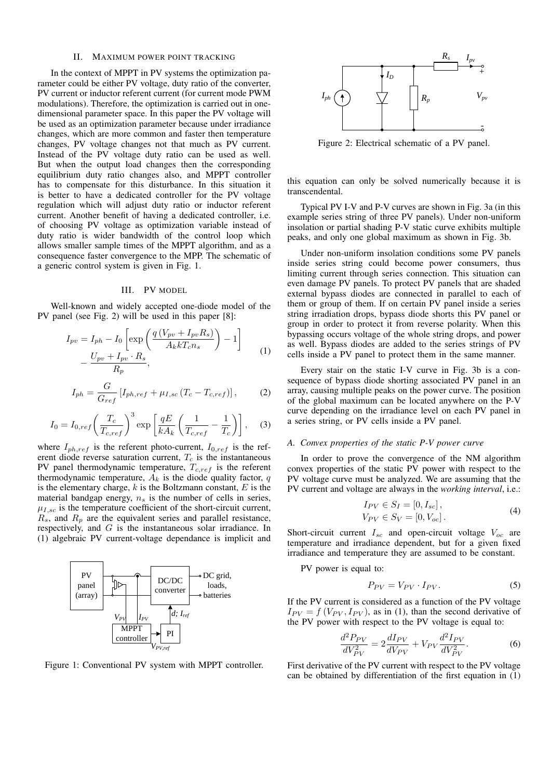## II. MAXIMUM POWER POINT TRACKING

In the context of MPPT in PV systems the optimization parameter could be either PV voltage, duty ratio of the converter, PV current or inductor referent current (for current mode PWM modulations). Therefore, the optimization is carried out in onedimensional parameter space. In this paper the PV voltage will be used as an optimization parameter because under irradiance changes, which are more common and faster then temperature changes, PV voltage changes not that much as PV current. Instead of the PV voltage duty ratio can be used as well. But when the output load changes then the corresponding equilibrium duty ratio changes also, and MPPT controller has to compensate for this disturbance. In this situation it is better to have a dedicated controller for the PV voltage regulation which will adjust duty ratio or inductor referent current. Another benefit of having a dedicated controller, i.e. of choosing PV voltage as optimization variable instead of duty ratio is wider bandwidth of the control loop which allows smaller sample times of the MPPT algorithm, and as a consequence faster convergence to the MPP. The schematic of a generic control system is given in Fig. 1.

# III. PV MODEL

Well-known and widely accepted one-diode model of the PV panel (see Fig. 2) will be used in this paper [8]:

$$
I_{pv} = I_{ph} - I_0 \left[ \exp\left(\frac{q(V_{pv} + I_{pv}R_s)}{A_kkT_c n_s}\right) - 1\right]
$$

$$
-\frac{U_{pv} + I_{pv} \cdot R_s}{R_p}, \qquad (1)
$$

$$
I_{ph} = \frac{G}{G_{ref}} \left[ I_{ph,ref} + \mu_{I,sc} \left( T_c - T_{c,ref} \right) \right],\tag{2}
$$

$$
I_0 = I_{0,ref} \left(\frac{T_c}{T_{c,ref}}\right)^3 \exp\left[\frac{qE}{kA_k} \left(\frac{1}{T_{c,ref}} - \frac{1}{T_c}\right)\right], \quad (3)
$$

where  $I_{ph,ref}$  is the referent photo-current,  $I_{0,ref}$  is the referent diode reverse saturation current,  $T_c$  is the instantaneous PV panel thermodynamic temperature,  $T_{c,ref}$  is the referent thermodynamic temperature,  $A_k$  is the diode quality factor,  $q$ is the elementary charge,  $k$  is the Boltzmann constant,  $E$  is the material bandgap energy,  $n<sub>s</sub>$  is the number of cells in series,  $\mu_{I,sc}$  is the temperature coefficient of the short-circuit current,  $R_s$ , and  $R_p$  are the equivalent series and parallel resistance, respectively, and  $G$  is the instantaneous solar irradiance. In (1) algebraic PV current-voltage dependance is implicit and



Figure 1: Conventional PV system with MPPT controller.



Figure 2: Electrical schematic of a PV panel.

this equation can only be solved numerically because it is transcendental.

Typical PV I-V and P-V curves are shown in Fig. 3a (in this example series string of three PV panels). Under non-uniform insolation or partial shading P-V static curve exhibits multiple peaks, and only one global maximum as shown in Fig. 3b.

Under non-uniform insolation conditions some PV panels inside series string could become power consumers, thus limiting current through series connection. This situation can even damage PV panels. To protect PV panels that are shaded external bypass diodes are connected in parallel to each of them or group of them. If on certain PV panel inside a series string irradiation drops, bypass diode shorts this PV panel or group in order to protect it from reverse polarity. When this bypassing occurs voltage of the whole string drops, and power as well. Bypass diodes are added to the series strings of PV cells inside a PV panel to protect them in the same manner.

Every stair on the static I-V curve in Fig. 3b is a consequence of bypass diode shorting associated PV panel in an array, causing multiple peaks on the power curve. The position of the global maximum can be located anywhere on the P-V curve depending on the irradiance level on each PV panel in a series string, or PV cells inside a PV panel.

# *A. Convex properties of the static P-V power curve*

In order to prove the convergence of the NM algorithm convex properties of the static PV power with respect to the PV voltage curve must be analyzed. We are assuming that the PV current and voltage are always in the *working interval*, i.e.:

$$
I_{PV} \in S_I = [0, I_{sc}],
$$
  
\n
$$
V_{PV} \in S_V = [0, V_{oc}].
$$
\n(4)

Short-circuit current  $I_{sc}$  and open-circuit voltage  $V_{oc}$  are temperature and irradiance dependent, but for a given fixed irradiance and temperature they are assumed to be constant.

PV power is equal to:

$$
P_{PV} = V_{PV} \cdot I_{PV}.\tag{5}
$$

If the PV current is considered as a function of the PV voltage  $I_{PV} = f(V_{PV}, I_{PV})$ , as in (1), than the second derivative of the PV power with respect to the PV voltage is equal to:

$$
\frac{d^2 P_{PV}}{dV_{PV}^2} = 2 \frac{dI_{PV}}{dV_{PV}} + V_{PV} \frac{d^2 I_{PV}}{dV_{PV}^2}.
$$
 (6)

First derivative of the PV current with respect to the PV voltage can be obtained by differentiation of the first equation in (1)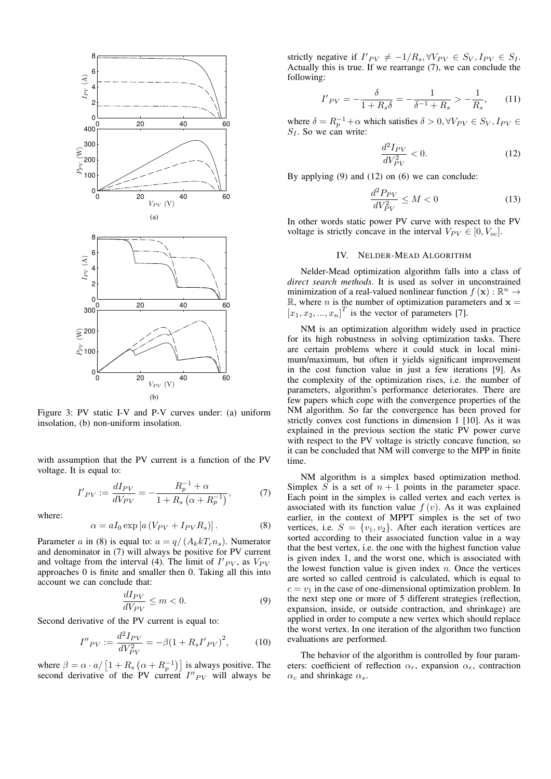

Figure 3: PV static I-V and P-V curves under: (a) uniform insolation, (b) non-uniform insolation.

with assumption that the PV current is a function of the PV voltage. It is equal to:

$$
I'_{PV} := \frac{dI_{PV}}{dV_{PV}} = -\frac{R_p^{-1} + \alpha}{1 + R_s \left(\alpha + R_p^{-1}\right)},\tag{7}
$$

where:

$$
\alpha = aI_0 \exp\left[a\left(V_{PV} + I_{PV}R_s\right)\right].\tag{8}
$$

Parameter a in (8) is equal to:  $a = q/(A_k kT_c n_s)$ . Numerator and denominator in (7) will always be positive for PV current and voltage from the interval (4). The limit of  $I'_{PV}$ , as  $V_{PV}$ approaches 0 is finite and smaller then 0. Taking all this into account we can conclude that:

$$
\frac{dI_{PV}}{dV_{PV}} \le m < 0. \tag{9}
$$

Second derivative of the PV current is equal to:

$$
I''_{PV} := \frac{d^2 I_{PV}}{dV_{PV}^2} = -\beta (1 + R_s I'_{PV})^2, \tag{10}
$$

where  $\beta = \alpha \cdot a / \left[1 + R_s\left(\alpha + R_p^{-1}\right)\right]$  is always positive. The second derivative of the PV current  $I''_{PV}$  will always be

strictly negative if  $I'_{PV} \neq -1/R_s, \forall V_{PV} \in S_V, I_{PV} \in S_I$ . Actually this is true. If we rearrange (7), we can conclude the following:

$$
I'_{PV} = -\frac{\delta}{1 + R_s \delta} = -\frac{1}{\delta^{-1} + R_s} > -\frac{1}{R_s},\qquad(11)
$$

where  $\delta = R_p^{-1} + \alpha$  which satisfies  $\delta > 0$ ,  $\forall V_{PV} \in S_V, I_{PV} \in$  $S_I$ . So we can write:

$$
\frac{d^2I_{PV}}{dV_{PV}^2} < 0.\tag{12}
$$

By applying (9) and (12) on (6) we can conclude:

$$
\frac{d^2 P_{PV}}{dV_{PV}^2} \le M < 0\tag{13}
$$

In other words static power PV curve with respect to the PV voltage is strictly concave in the interval  $V_{PV} \in [0, V_{oc}]$ .

#### IV. NELDER-MEAD ALGORITHM

Nelder-Mead optimization algorithm falls into a class of *direct search methods*. It is used as solver in unconstrained minimization of a real-valued nonlinear function  $f(\mathbf{x}) : \mathbb{R}^n \to$  $\mathbb{R}$ , where *n* is the number of optimization parameters and  $x =$  $[x_1, x_2, ..., x_n]^T$  is the vector of parameters [7].

NM is an optimization algorithm widely used in practice for its high robustness in solving optimization tasks. There are certain problems where it could stuck in local minimum/maximum, but often it yields significant improvement in the cost function value in just a few iterations [9]. As the complexity of the optimization rises, i.e. the number of parameters, algorithm's performance deteriorates. There are few papers which cope with the convergence properties of the NM algorithm. So far the convergence has been proved for strictly convex cost functions in dimension 1 [10]. As it was explained in the previous section the static PV power curve with respect to the PV voltage is strictly concave function, so it can be concluded that NM will converge to the MPP in finite time.

NM algorithm is a simplex based optimization method. Simplex S is a set of  $n + 1$  points in the parameter space. Each point in the simplex is called vertex and each vertex is associated with its function value  $f(v)$ . As it was explained earlier, in the context of MPPT simplex is the set of two vertices, i.e.  $S = \{v_1, v_2\}$ . After each iteration vertices are sorted according to their associated function value in a way that the best vertex, i.e. the one with the highest function value is given index 1, and the worst one, which is associated with the lowest function value is given index  $n$ . Once the vertices are sorted so called centroid is calculated, which is equal to  $c = v_1$  in the case of one-dimensional optimization problem. In the next step one or more of 5 different strategies (reflection, expansion, inside, or outside contraction, and shrinkage) are applied in order to compute a new vertex which should replace the worst vertex. In one iteration of the algorithm two function evaluations are performed.

The behavior of the algorithm is controlled by four parameters: coefficient of reflection  $\alpha_r$ , expansion  $\alpha_e$ , contraction  $\alpha_c$  and shrinkage  $\alpha_s$ .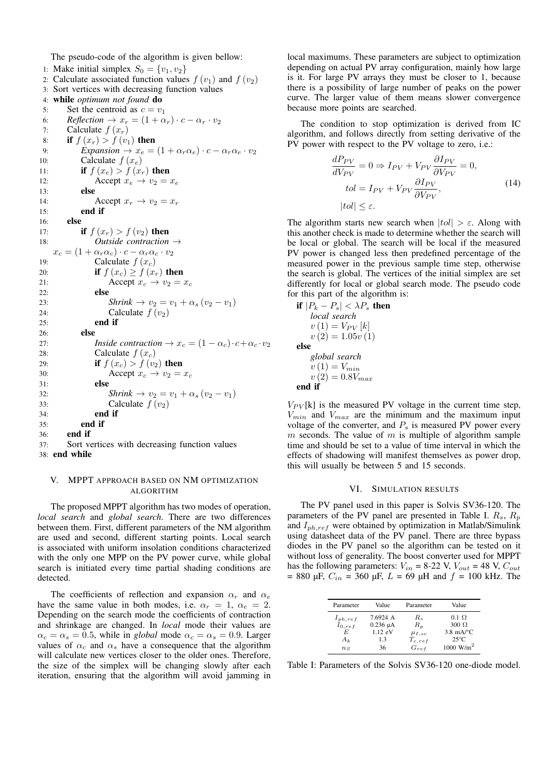The pseudo-code of the algorithm is given bellow:

1: Make initial simplex  $S_0 = \{v_1, v_2\}$ 2: Calculate associated function values  $f(v_1)$  and  $f(v_2)$ 3: Sort vertices with decreasing function values 4: while *optimum not found* do 5: Set the centroid as  $c = v_1$ 6: *Reflection*  $\rightarrow x_r = (1 + \alpha_r) \cdot c - \alpha_r \cdot v_2$ 7: Calculate  $f(x_r)$ <br>8: **if**  $f(x_r) > f(v$ if  $f(x_r) > f(v_1)$  then 9: *Expansion*  $\rightarrow x_e = (1 + \alpha_r \alpha_e) \cdot c - \alpha_r \alpha_e \cdot v_2$ <br>10: Calculate  $f(x_e)$ Calculate  $f(x_e)$ 11: **if**  $f(x_e) > f(x_r)$  then 12: Accept  $x_e \rightarrow v_2 = x_e$ 13: else 14: Accept  $x_r \to v_2 = x_r$ 15: end if 16: else 17: **if**  $f(x_r) > f(v_2)$  **then**<br>18: **Outside contraction**  $0$ *utside contraction*  $\rightarrow$  $x_c = (1 + \alpha_r \alpha_c) \cdot c - \alpha_r \alpha_c \cdot v_2$ 19: Calculate  $f(x_c)$ 20: **if**  $f(x_c) > f(x_r)$  then 21: Accept  $x_c \rightarrow v_2 = x_c$ 22: else 23: *Shrink*  $\rightarrow v_2 = v_1 + \alpha_s (v_2 - v_1)$ 24: Calculate  $f(v_2)$ 25: end if 26: else 27: *Inside contraction*  $\rightarrow x_c = (1 - \alpha_c) \cdot c + \alpha_c \cdot v_2$ <br>28: **Calculate**  $f(x_c)$ Calculate  $f(x_c)$ 29: **if**  $f(x_c) > f(v_2)$  then 30: Accept  $x_c \rightarrow v_2 = x_c$ 31: else 32: *Shrink*  $\rightarrow v_2 = v_1 + \alpha_s (v_2 - v_1)$ 33: Calculate  $f(v_2)$ 34: end if 35: end if  $36<sub>1</sub>$  end if 37: Sort vertices with decreasing function values

# V. MPPT APPROACH BASED ON NM OPTIMIZATION ALGORITHM

The proposed MPPT algorithm has two modes of operation, *local search* and *global search*. There are two differences between them. First, different parameters of the NM algorithm are used and second, different starting points. Local search is associated with uniform insolation conditions characterized with the only one MPP on the PV power curve, while global search is initiated every time partial shading conditions are detected.

The coefficients of reflection and expansion  $\alpha_r$  and  $\alpha_e$ have the same value in both modes, i.e.  $\alpha_r = 1$ ,  $\alpha_e = 2$ . Depending on the search mode the coefficients of contraction and shrinkage are changed. In *local* mode their values are  $\alpha_c = \alpha_s = 0.5$ , while in *global* mode  $\alpha_c = \alpha_s = 0.9$ . Larger values of  $\alpha_c$  and  $\alpha_s$  have a consequence that the algorithm will calculate new vertices closer to the older ones. Therefore, the size of the simplex will be changing slowly after each iteration, ensuring that the algorithm will avoid jamming in

local maximums. These parameters are subject to optimization depending on actual PV array configuration, mainly how large is it. For large PV arrays they must be closer to 1, because there is a possibility of large number of peaks on the power curve. The larger value of them means slower convergence because more points are searched.

The condition to stop optimization is derived from IC algorithm, and follows directly from setting derivative of the PV power with respect to the PV voltage to zero, i.e.:

$$
\frac{dP_{PV}}{dV_{PV}} = 0 \Rightarrow I_{PV} + V_{PV} \frac{\partial I_{PV}}{\partial V_{PV}} = 0,
$$
  
\n
$$
tol = I_{PV} + V_{PV} \frac{\partial I_{PV}}{\partial V_{PV}},
$$
  
\n
$$
|tol| \le \varepsilon.
$$
\n(14)

The algorithm starts new search when  $|tol| > \varepsilon$ . Along with this another check is made to determine whether the search will be local or global. The search will be local if the measured PV power is changed less then predefined percentage of the measured power in the previous sample time step, otherwise the search is global. The vertices of the initial simplex are set differently for local or global search mode. The pseudo code for this part of the algorithm is:

**if** 
$$
|P_k - P_s| < \lambda P_s
$$
 **then**  
\n*local search*  
\n $v(1) = V_{PV}[k]$   
\n $v(2) = 1.05v(1)$   
\n**else**  
\n*global search*  
\n $v(1) = V_{min}$   
\n $v(2) = 0.8V_{max}$   
\n**end if**

 $V_{PV}$ [k] is the measured PV voltage in the current time step,  $V_{min}$  and  $V_{max}$  are the minimum and the maximum input voltage of the converter, and  $P_s$  is measured PV power every m seconds. The value of  $m$  is multiple of algorithm sample time and should be set to a value of time interval in which the effects of shadowing will manifest themselves as power drop, this will usually be between 5 and 15 seconds.

#### VI. SIMULATION RESULTS

The PV panel used in this paper is Solvis SV36-120. The parameters of the PV panel are presented in Table I.  $R_s$ ,  $R_p$ and  $I_{ph,ref}$  were obtained by optimization in Matlab/Simulink using datasheet data of the PV panel. There are three bypass diodes in the PV panel so the algorithm can be tested on it without loss of generality. The boost converter used for MPPT has the following parameters:  $V_{in}$  = 8-22 V,  $V_{out}$  = 48 V,  $C_{out}$ = 880  $\mu$ F,  $C_{in}$  = 360  $\mu$ F,  $L$  = 69  $\mu$ H and  $f$  = 100 kHz. The

| Parameter    | Value             | Parameter    | Value                             |
|--------------|-------------------|--------------|-----------------------------------|
| $I_{ph,ref}$ | 7.6924 A          | $R_{\rm s}$  | $0.1 \Omega$                      |
| $I_{0,ref}$  | $0.236 \mu A$     | $R_p$        | $300 \Omega$                      |
| E,           | $1.12 \text{ eV}$ | $\mu_{I,sc}$ | $3.8 \text{ mA}^{\circ} \text{C}$ |
| $A_k$        | 1.3               | $T_{c,ref}$  | $25^{\circ}$ C                    |
| $n_{S}$      | 36                | $G_{ref}$    | 1000 $W/m^2$                      |

Table I: Parameters of the Solvis SV36-120 one-diode model.

<sup>38:</sup> end while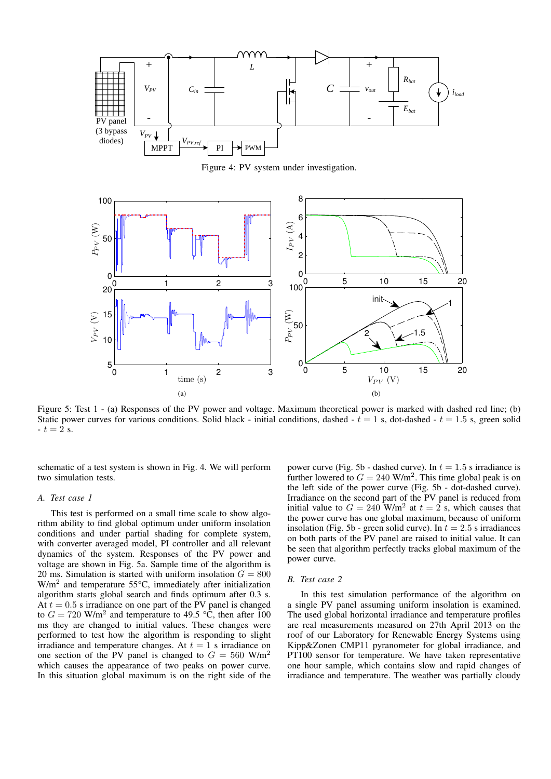

Figure 4: PV system under investigation.



Figure 5: Test 1 - (a) Responses of the PV power and voltage. Maximum theoretical power is marked with dashed red line; (b) Static power curves for various conditions. Solid black - initial conditions, dashed -  $t = 1$  s, dot-dashed -  $t = 1.5$  s, green solid  $-t=\overline{2}$  s.

schematic of a test system is shown in Fig. 4. We will perform two simulation tests.

#### *A. Test case 1*

This test is performed on a small time scale to show algorithm ability to find global optimum under uniform insolation conditions and under partial shading for complete system, with converter averaged model, PI controller and all relevant dynamics of the system. Responses of the PV power and voltage are shown in Fig. 5a. Sample time of the algorithm is 20 ms. Simulation is started with uniform insolation  $G = 800$  $W/m<sup>2</sup>$  and temperature 55 $°C$ , immediately after initialization algorithm starts global search and finds optimum after 0.3 s. At  $t = 0.5$  s irradiance on one part of the PV panel is changed to  $G = 720$  W/m<sup>2</sup> and temperature to 49.5 °C, then after 100 ms they are changed to initial values. These changes were performed to test how the algorithm is responding to slight irradiance and temperature changes. At  $t = 1$  s irradiance on one section of the PV panel is changed to  $G = 560$  W/m<sup>2</sup> which causes the appearance of two peaks on power curve. In this situation global maximum is on the right side of the

power curve (Fig. 5b - dashed curve). In  $t = 1.5$  s irradiance is further lowered to  $G = 240$  W/m<sup>2</sup>. This time global peak is on the left side of the power curve (Fig. 5b - dot-dashed curve). Irradiance on the second part of the PV panel is reduced from initial value to  $G = 240$  W/m<sup>2</sup> at  $t = 2$  s, which causes that the power curve has one global maximum, because of uniform insolation (Fig. 5b - green solid curve). In  $t = 2.5$  s irradiances on both parts of the PV panel are raised to initial value. It can be seen that algorithm perfectly tracks global maximum of the power curve.

### *B. Test case 2*

In this test simulation performance of the algorithm on a single PV panel assuming uniform insolation is examined. The used global horizontal irradiance and temperature profiles are real measurements measured on 27th April 2013 on the roof of our Laboratory for Renewable Energy Systems using Kipp&Zonen CMP11 pyranometer for global irradiance, and PT100 sensor for temperature. We have taken representative one hour sample, which contains slow and rapid changes of irradiance and temperature. The weather was partially cloudy